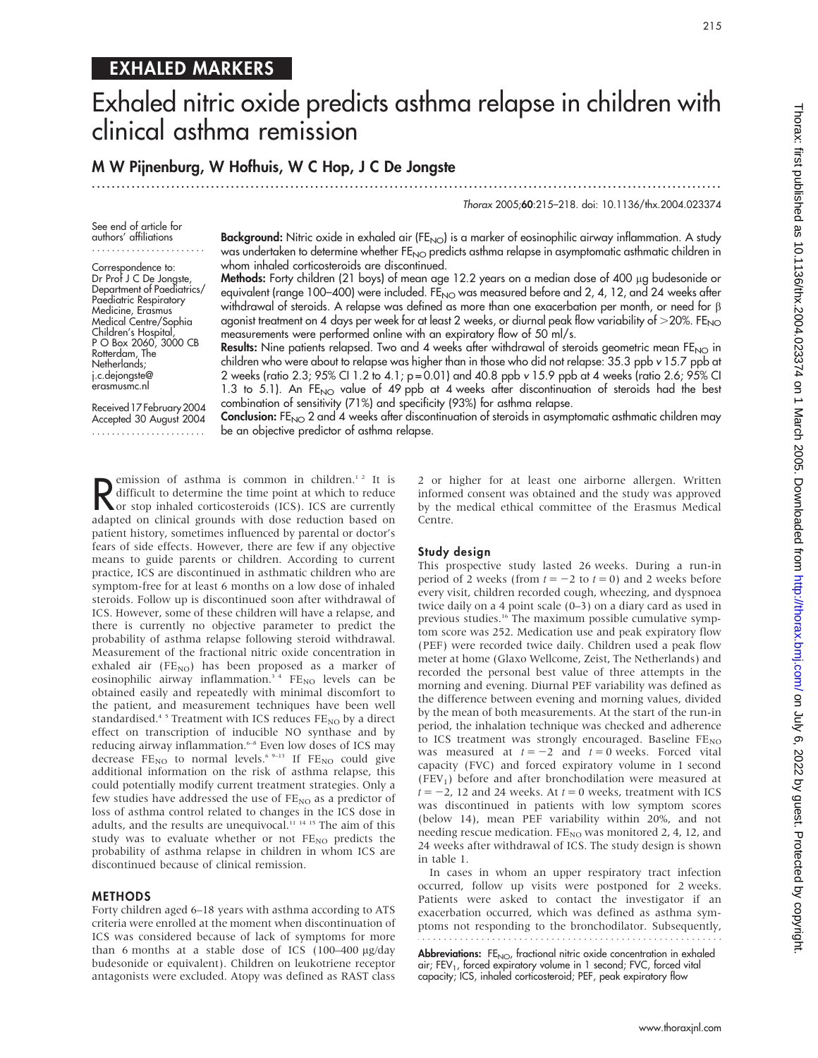## EXHALED MARKERS

# Exhaled nitric oxide predicts asthma relapse in children with clinical asthma remission

## M W Pijnenburg, W Hofhuis, W C Hop, J C De Jongste

...............................................................................................................................

## Thorax 2005;60:215–218. doi: 10.1136/thx.2004.023374

See end of article for authors' affiliations .......................

Correspondence to: Dr Prof J C De Jongste, Department of Paediatrics/ Paediatric Respiratory Medicine, Erasmus Medical Centre/Sophia Children's Hospital, P O Box 2060, 3000 CB Rotterdam, The Netherlands; j.c.dejongste@ erasmusmc.nl

Background: Nitric oxide in exhaled air (FE<sub>NO</sub>) is a marker of eosinophilic airway inflammation. A study was undertaken to determine whether FE<sub>NO</sub> predicts asthma relapse in asymptomatic asthmatic children in whom inhaled corticosteroids are discontinued.

Methods: Forty children (21 boys) of mean age 12.2 years on a median dose of 400 µg budesonide or equivalent (range 100-400) were included. FE<sub>NO</sub> was measured before and 2, 4, 12, and 24 weeks after withdrawal of steroids. A relapse was defined as more than one exacerbation per month, or need for b agonist treatment on 4 days per week for at least 2 weeks, or diurnal peak flow variability of  $>$ 20%. FE<sub>NO</sub> measurements were performed online with an expiratory flow of 50 ml/s.

**Results:** Nine patients relapsed. Two and 4 weeks after withdrawal of steroids geometric mean FE<sub>NO</sub> in children who were about to relapse was higher than in those who did not relapse: 35.3 ppb v 15.7 ppb at 2 weeks (ratio 2.3; 95% CI 1.2 to 4.1; p = 0.01) and 40.8 ppb v 15.9 ppb at 4 weeks (ratio 2.6; 95% CI 1.3 to 5.1). An FE<sub>NO</sub> value of 49 ppb at 4 weeks after discontinuation of steroids had the best combination of sensitivity (71%) and specificity (93%) for asthma relapse.

Received 17 February 2004 Accepted 30 August 2004

Conclusion: FE<sub>NO</sub> 2 and 4 weeks after discontinuation of steroids in asymptomatic asthmatic children may be an objective predictor of asthma relapse.

Remission of asthma is common in children.<sup>12</sup> It is<br>difficult to determine the time point at which to reduce<br>and the time point at which to reduce<br>and the point of the condition of the point of the point of the point of t emission of asthma is common in children.<sup>12</sup> It is or stop inhaled corticosteroids (ICS). ICS are currently adapted on clinical grounds with dose reduction based on patient history, sometimes influenced by parental or doctor's fears of side effects. However, there are few if any objective means to guide parents or children. According to current practice, ICS are discontinued in asthmatic children who are symptom-free for at least 6 months on a low dose of inhaled steroids. Follow up is discontinued soon after withdrawal of ICS. However, some of these children will have a relapse, and there is currently no objective parameter to predict the probability of asthma relapse following steroid withdrawal. Measurement of the fractional nitric oxide concentration in exhaled air ( $FE_{NO}$ ) has been proposed as a marker of eosinophilic airway inflammation.<sup>34</sup> FE<sub>NO</sub> levels can be obtained easily and repeatedly with minimal discomfort to the patient, and measurement techniques have been well standardised.<sup>45</sup> Treatment with ICS reduces  $FE_{NO}$  by a direct effect on transcription of inducible NO synthase and by reducing airway inflammation.<sup>6-8</sup> Even low doses of ICS may decrease  $FE_{NO}$  to normal levels.<sup>6 9-13</sup> If  $FE_{NO}$  could give additional information on the risk of asthma relapse, this could potentially modify current treatment strategies. Only a few studies have addressed the use of  $FE_{NO}$  as a predictor of loss of asthma control related to changes in the ICS dose in adults, and the results are unequivocal.<sup>11 14 15</sup> The aim of this study was to evaluate whether or not  $FE_{NO}$  predicts the probability of asthma relapse in children in whom ICS are discontinued because of clinical remission.

## METHODS

Forty children aged 6–18 years with asthma according to ATS criteria were enrolled at the moment when discontinuation of ICS was considered because of lack of symptoms for more than 6 months at a stable dose of ICS  $(100-400 \text{ µg/day})$ budesonide or equivalent). Children on leukotriene receptor antagonists were excluded. Atopy was defined as RAST class

2 or higher for at least one airborne allergen. Written informed consent was obtained and the study was approved by the medical ethical committee of the Erasmus Medical Centre.

### Study design

This prospective study lasted 26 weeks. During a run-in period of 2 weeks (from  $t = -2$  to  $t = 0$ ) and 2 weeks before every visit, children recorded cough, wheezing, and dyspnoea twice daily on a 4 point scale (0–3) on a diary card as used in previous studies.<sup>16</sup> The maximum possible cumulative symptom score was 252. Medication use and peak expiratory flow (PEF) were recorded twice daily. Children used a peak flow meter at home (Glaxo Wellcome, Zeist, The Netherlands) and recorded the personal best value of three attempts in the morning and evening. Diurnal PEF variability was defined as the difference between evening and morning values, divided by the mean of both measurements. At the start of the run-in period, the inhalation technique was checked and adherence to ICS treatment was strongly encouraged. Baseline  $FE_{NO}$ was measured at  $t = -2$  and  $t = 0$  weeks. Forced vital capacity (FVC) and forced expiratory volume in 1 second  $(FEV<sub>1</sub>)$  before and after bronchodilation were measured at  $t = -2$ , 12 and 24 weeks. At  $t = 0$  weeks, treatment with ICS was discontinued in patients with low symptom scores (below 14), mean PEF variability within 20%, and not needing rescue medication.  $FE_{NO}$  was monitored 2, 4, 12, and 24 weeks after withdrawal of ICS. The study design is shown in table 1.

In cases in whom an upper respiratory tract infection occurred, follow up visits were postponed for 2 weeks. Patients were asked to contact the investigator if an exacerbation occurred, which was defined as asthma symptoms not responding to the bronchodilator. Subsequently,

Abbreviations: FE<sub>NO</sub>, fractional nitric oxide concentration in exhaled air; FEV<sub>1</sub>, forced expiratory volume in 1 second; FVC, forced vital capacity; ICS, inhaled corticosteroid; PEF, peak expiratory flow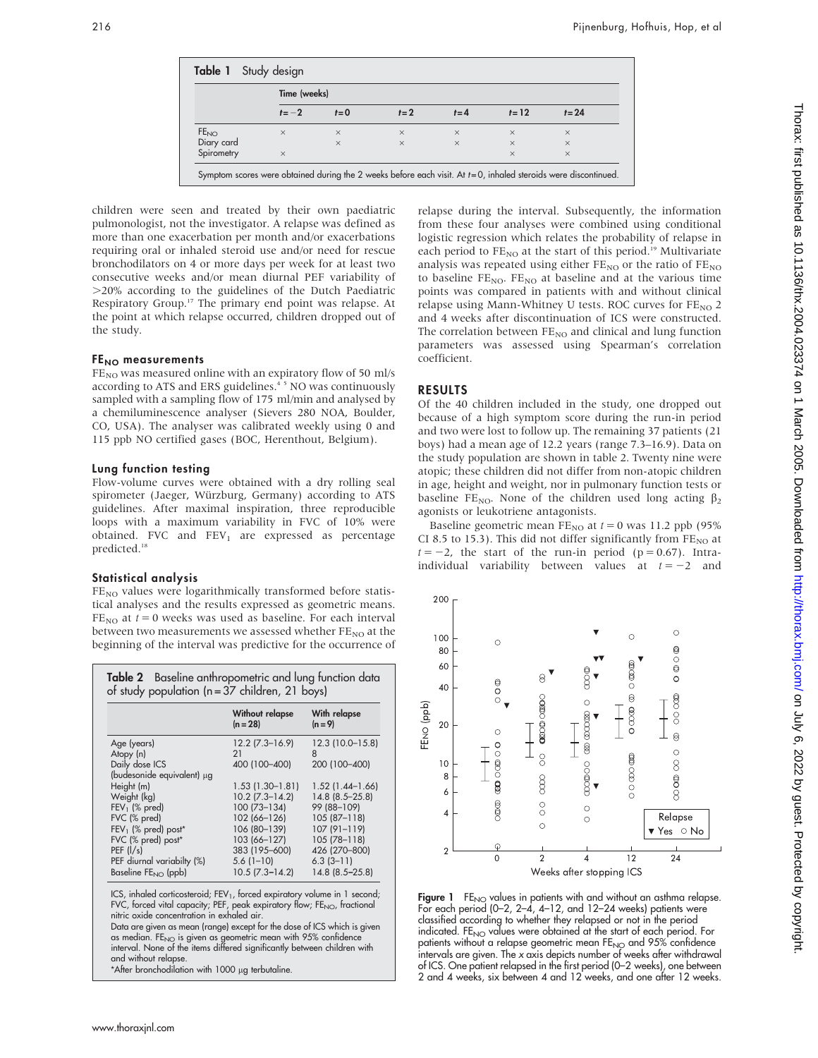|                  | Time (weeks) |          |          |          |          |          |  |
|------------------|--------------|----------|----------|----------|----------|----------|--|
|                  | $t=-2$       | $t=0$    | $t=2$    | $t = 4$  | $t = 12$ | $t = 24$ |  |
| FE <sub>NO</sub> | $\times$     | $\times$ | $\times$ | $\times$ | $\times$ | $\times$ |  |
| Diary card       |              | $\times$ | $\times$ | $\times$ | $\times$ | $\times$ |  |
| Spirometry       | $\times$     |          |          |          | $\times$ | $\times$ |  |

children were seen and treated by their own paediatric pulmonologist, not the investigator. A relapse was defined as more than one exacerbation per month and/or exacerbations requiring oral or inhaled steroid use and/or need for rescue bronchodilators on 4 or more days per week for at least two consecutive weeks and/or mean diurnal PEF variability of .20% according to the guidelines of the Dutch Paediatric Respiratory Group.<sup>17</sup> The primary end point was relapse. At the point at which relapse occurred, children dropped out of the study.

## FE<sub>NO</sub> measurements

 $FE<sub>NO</sub>$  was measured online with an expiratory flow of 50 ml/s according to ATS and ERS guidelines.<sup>45</sup> NO was continuously sampled with a sampling flow of 175 ml/min and analysed by a chemiluminescence analyser (Sievers 280 NOA, Boulder, CO, USA). The analyser was calibrated weekly using 0 and 115 ppb NO certified gases (BOC, Herenthout, Belgium).

## Lung function testing

Flow-volume curves were obtained with a dry rolling seal spirometer (Jaeger, Würzburg, Germany) according to ATS guidelines. After maximal inspiration, three reproducible loops with a maximum variability in FVC of 10% were obtained. FVC and  $FEV<sub>1</sub>$  are expressed as percentage predicted.<sup>18</sup>

## Statistical analysis

 $FE<sub>NO</sub>$  values were logarithmically transformed before statistical analyses and the results expressed as geometric means.  $FE_{NO}$  at  $t = 0$  weeks was used as baseline. For each interval between two measurements we assessed whether  $FE_{NO}$  at the beginning of the interval was predictive for the occurrence of

| Table 2 Baseline anthropometric and lung function data<br>of study population (n = 37 children, 21 boys) |                             |                           |  |  |  |
|----------------------------------------------------------------------------------------------------------|-----------------------------|---------------------------|--|--|--|
|                                                                                                          | Without relapse<br>(n = 28) | With relapse<br>$(n = 9)$ |  |  |  |
| Age (years)                                                                                              | $12.2$ (7.3-16.9)           | 12.3 (10.0-15.8)          |  |  |  |
| Atopy (n)                                                                                                | 21                          | 8                         |  |  |  |
| Daily dose ICS                                                                                           | 400 (100-400)               | 200 (100-400)             |  |  |  |
| (budesonide equivalent) µg                                                                               |                             |                           |  |  |  |
| Height (m)                                                                                               | $1.53(1.30-1.81)$           | $1.52(1.44 - 1.66)$       |  |  |  |
| Weight (kg)                                                                                              | $10.2$ (7.3-14.2)           | $14.8(8.5 - 25.8)$        |  |  |  |
| $FEV1$ (% pred)                                                                                          | 100 (73-134)                | 99 (88-109)               |  |  |  |
| FVC (% pred)                                                                                             | 102 (66-126)                | 105 (87-118)              |  |  |  |
| $FEV1$ (% pred) post <sup>*</sup>                                                                        | 106 (80-139)                | 107 (91-119)              |  |  |  |
| FVC (% pred) post*                                                                                       | 103 (66-127)                | 105 (78-118)              |  |  |  |
| PEF $\frac{1}{s}$                                                                                        | 383 (195-600)               | 426 (270-800)             |  |  |  |
| PEF diurnal variabilty (%)                                                                               | $5.6(1-10)$                 | $6.3(3 - 11)$             |  |  |  |
| Baseline $FE_{NO}$ (ppb)                                                                                 | $10.5(7.3 - 14.2)$          | 14.8 (8.5-25.8)           |  |  |  |

ICS, inhaled corticosteroid; FEV<sub>1</sub>, forced expiratory volume in 1 second; FVC, forced vital capacity; PEF, peak expiratory flow; FE<sub>NO</sub>, fractional nitric oxide concentration in exhaled air.

Data are given as mean (range) except for the dose of ICS which is given as median. FE<sub>NO</sub> is given as geometric mean with 95% confidence<br>interval. None of the items differed significantly between children with and without relapse.

\*After bronchodilation with 1000 µg terbutaline

relapse during the interval. Subsequently, the information from these four analyses were combined using conditional logistic regression which relates the probability of relapse in each period to  $FE_{NO}$  at the start of this period.<sup>19</sup> Multivariate analysis was repeated using either  $FE_{NO}$  or the ratio of  $FE_{NO}$ to baseline  $FE_{NO}$ .  $FE_{NO}$  at baseline and at the various time points was compared in patients with and without clinical relapse using Mann-Whitney U tests. ROC curves for  $FE_{NO}$  2 and 4 weeks after discontinuation of ICS were constructed. The correlation between  $FE_{NO}$  and clinical and lung function parameters was assessed using Spearman's correlation coefficient.

## RESULTS

Of the 40 children included in the study, one dropped out because of a high symptom score during the run-in period and two were lost to follow up. The remaining 37 patients (21 boys) had a mean age of 12.2 years (range 7.3–16.9). Data on the study population are shown in table 2. Twenty nine were atopic; these children did not differ from non-atopic children in age, height and weight, nor in pulmonary function tests or baseline FE<sub>NO</sub>. None of the children used long acting  $\beta_2$ agonists or leukotriene antagonists.

Baseline geometric mean  $FE_{NO}$  at  $t = 0$  was 11.2 ppb (95%) CI 8.5 to 15.3). This did not differ significantly from  $FE_{NO}$  at  $t = -2$ , the start of the run-in period (p = 0.67). Intraindividual variability between values at  $t = -2$  and



Figure 1 FE<sub>NO</sub> values in patients with and without an asthma relapse. For each period (0–2, 2–4, 4–12, and 12–24 weeks) patients were classified according to whether they relapsed or not in the period indicated. FE<sub>NO</sub> values were obtained at the start of each period. For patients without a relapse geometric mean  $FE_{NO}$  and 95% confidence intervals are given. The x axis depicts number of weeks after withdrawal of ICS. One patient relapsed in the first period (0–2 weeks), one between 2 and 4 weeks, six between 4 and 12 weeks, and one after 12 weeks.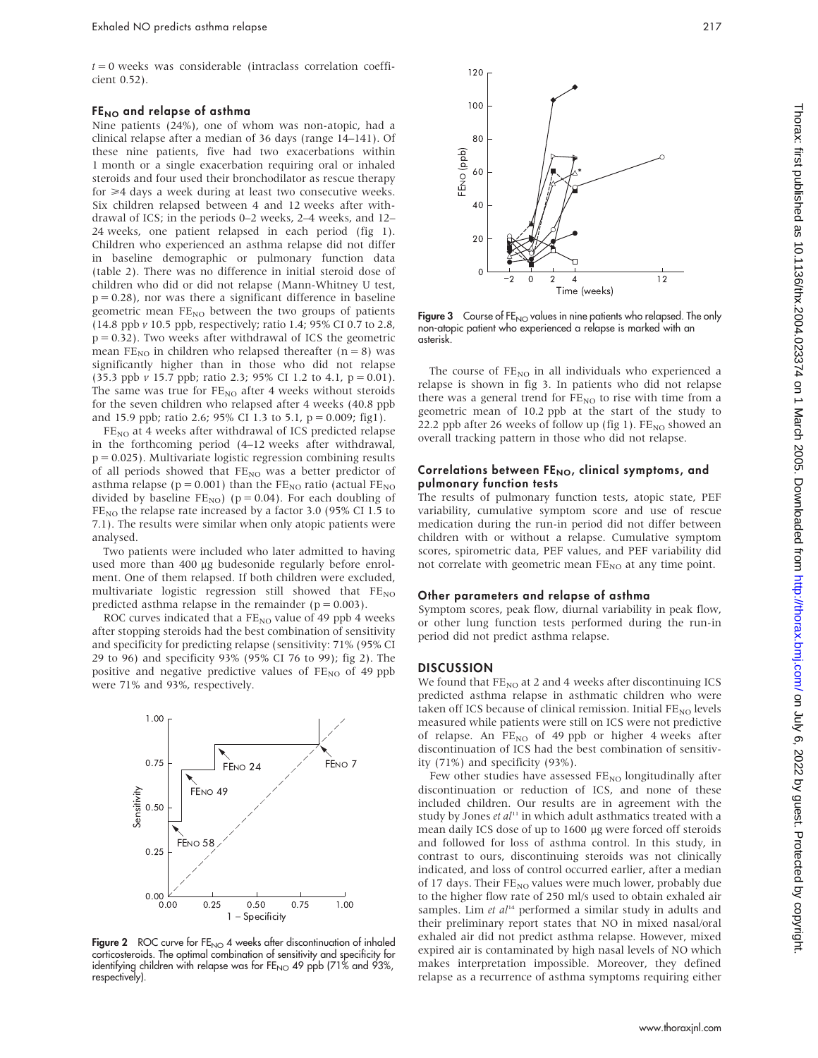$t = 0$  weeks was considerable (intraclass correlation coefficient 0.52).

#### $FE<sub>NO</sub>$  and relapse of asthma

Nine patients (24%), one of whom was non-atopic, had a clinical relapse after a median of 36 days (range 14–141). Of these nine patients, five had two exacerbations within 1 month or a single exacerbation requiring oral or inhaled steroids and four used their bronchodilator as rescue therapy for  $\geq 4$  days a week during at least two consecutive weeks. Six children relapsed between 4 and 12 weeks after withdrawal of ICS; in the periods 0–2 weeks, 2–4 weeks, and 12– 24 weeks, one patient relapsed in each period (fig 1). Children who experienced an asthma relapse did not differ in baseline demographic or pulmonary function data (table 2). There was no difference in initial steroid dose of children who did or did not relapse (Mann-Whitney U test,  $p = 0.28$ ), nor was there a significant difference in baseline geometric mean  $FE_{NO}$  between the two groups of patients (14.8 ppb v 10.5 ppb, respectively; ratio 1.4; 95% CI 0.7 to 2.8,  $p = 0.32$ ). Two weeks after withdrawal of ICS the geometric mean  $FE_{NO}$  in children who relapsed thereafter (n = 8) was significantly higher than in those who did not relapse (35.3 ppb  $\nu$  15.7 ppb; ratio 2.3; 95% CI 1.2 to 4.1,  $p = 0.01$ ). The same was true for  $FE_{NO}$  after 4 weeks without steroids for the seven children who relapsed after 4 weeks (40.8 ppb and 15.9 ppb; ratio 2.6; 95% CI 1.3 to 5.1,  $p = 0.009$ ; fig1).

FE<sub>NO</sub> at 4 weeks after withdrawal of ICS predicted relapse in the forthcoming period (4–12 weeks after withdrawal,  $p = 0.025$ ). Multivariate logistic regression combining results of all periods showed that  $FE_{NO}$  was a better predictor of asthma relapse ( $p = 0.001$ ) than the FE<sub>NO</sub> ratio (actual FE<sub>NO</sub> divided by baseline  $FE_{NO}$ ) (p = 0.04). For each doubling of  $FE_{NO}$  the relapse rate increased by a factor 3.0 (95% CI 1.5 to 7.1). The results were similar when only atopic patients were analysed.

Two patients were included who later admitted to having used more than 400 µg budesonide regularly before enrolment. One of them relapsed. If both children were excluded, multivariate logistic regression still showed that  $FE_{NO}$ predicted asthma relapse in the remainder ( $p = 0.003$ ).

ROC curves indicated that a  $FE_{NO}$  value of 49 ppb 4 weeks after stopping steroids had the best combination of sensitivity and specificity for predicting relapse (sensitivity: 71% (95% CI 29 to 96) and specificity 93% (95% CI 76 to 99); fig 2). The positive and negative predictive values of  $FE_{NO}$  of 49 ppb were 71% and 93%, respectively.



Figure 2 ROC curve for  $FE_{NO}$  4 weeks after discontinuation of inhaled corticosteroids. The optimal combination of sensitivity and specificity for identifying children with relapse was for  $FE_{NO}$  49 ppb (71% and 93%, respectively).



Figure 3 Course of FE<sub>NO</sub> values in nine patients who relapsed. The only non-atopic patient who experienced a relapse is marked with an asterisk.

The course of  $FE_{NO}$  in all individuals who experienced a relapse is shown in fig 3. In patients who did not relapse there was a general trend for  $FE_{NO}$  to rise with time from a geometric mean of 10.2 ppb at the start of the study to 22.2 ppb after 26 weeks of follow up (fig 1).  $FE_{NO}$  showed an overall tracking pattern in those who did not relapse.

### Correlations between FENO, clinical symptoms, and pulmonary function tests

The results of pulmonary function tests, atopic state, PEF variability, cumulative symptom score and use of rescue medication during the run-in period did not differ between children with or without a relapse. Cumulative symptom scores, spirometric data, PEF values, and PEF variability did not correlate with geometric mean FE<sub>NO</sub> at any time point.

#### Other parameters and relapse of asthma

Symptom scores, peak flow, diurnal variability in peak flow, or other lung function tests performed during the run-in period did not predict asthma relapse.

## **DISCUSSION**

We found that  $FE_{NO}$  at 2 and 4 weeks after discontinuing ICS predicted asthma relapse in asthmatic children who were taken off ICS because of clinical remission. Initial  $FE_{NO}$  levels measured while patients were still on ICS were not predictive of relapse. An  $FE_{NO}$  of 49 ppb or higher 4 weeks after discontinuation of ICS had the best combination of sensitivity (71%) and specificity (93%).

Few other studies have assessed  $\text{FE}_\text{NO}$  longitudinally after discontinuation or reduction of ICS, and none of these included children. Our results are in agreement with the study by Jones et al<sup>11</sup> in which adult asthmatics treated with a mean daily ICS dose of up to 1600 µg were forced off steroids and followed for loss of asthma control. In this study, in contrast to ours, discontinuing steroids was not clinically indicated, and loss of control occurred earlier, after a median of 17 days. Their  $FE_{NO}$  values were much lower, probably due to the higher flow rate of 250 ml/s used to obtain exhaled air samples. Lim et  $al<sup>14</sup>$  performed a similar study in adults and their preliminary report states that NO in mixed nasal/oral exhaled air did not predict asthma relapse. However, mixed expired air is contaminated by high nasal levels of NO which makes interpretation impossible. Moreover, they defined relapse as a recurrence of asthma symptoms requiring either